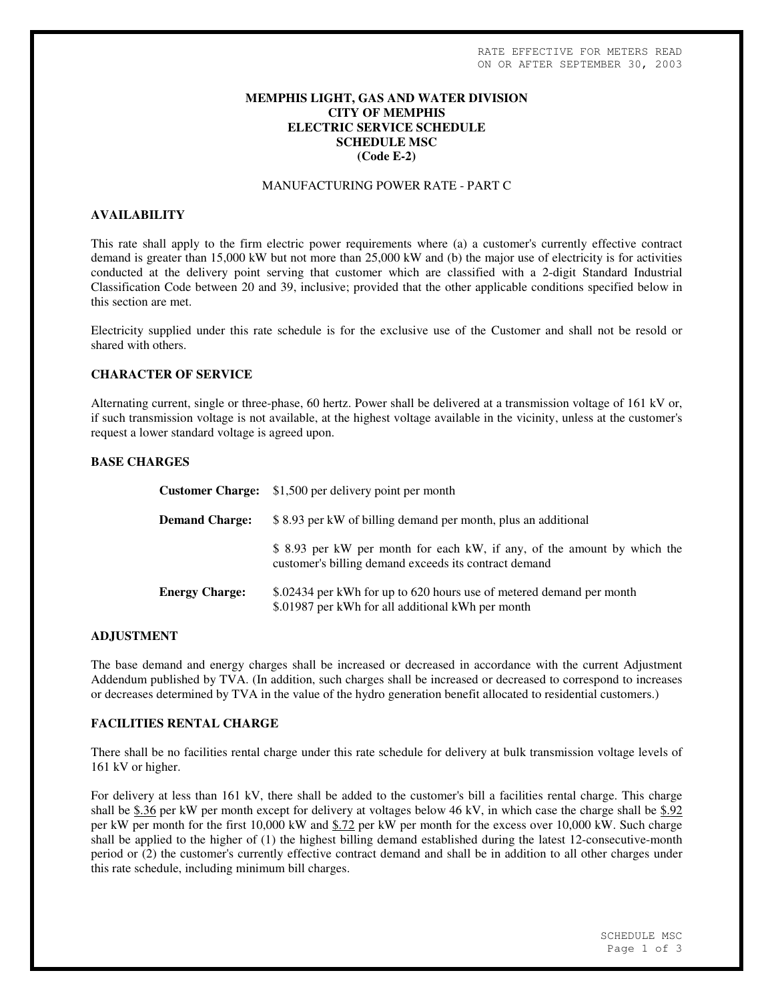## **MEMPHIS LIGHT, GAS AND WATER DIVISION CITY OF MEMPHIS ELECTRIC SERVICE SCHEDULE SCHEDULE MSC (Code E-2)**

#### MANUFACTURING POWER RATE - PART C

#### **AVAILABILITY**

This rate shall apply to the firm electric power requirements where (a) a customer's currently effective contract demand is greater than 15,000 kW but not more than 25,000 kW and (b) the major use of electricity is for activities conducted at the delivery point serving that customer which are classified with a 2-digit Standard Industrial Classification Code between 20 and 39, inclusive; provided that the other applicable conditions specified below in this section are met.

Electricity supplied under this rate schedule is for the exclusive use of the Customer and shall not be resold or shared with others.

# **CHARACTER OF SERVICE**

Alternating current, single or three-phase, 60 hertz. Power shall be delivered at a transmission voltage of 161 kV or, if such transmission voltage is not available, at the highest voltage available in the vicinity, unless at the customer's request a lower standard voltage is agreed upon.

## **BASE CHARGES**

|                       | <b>Customer Charge:</b> \$1,500 per delivery point per month                                                                      |
|-----------------------|-----------------------------------------------------------------------------------------------------------------------------------|
| <b>Demand Charge:</b> | \$8.93 per kW of billing demand per month, plus an additional                                                                     |
|                       | \$ 8.93 per kW per month for each kW, if any, of the amount by which the<br>customer's billing demand exceeds its contract demand |
| <b>Energy Charge:</b> | \$.02434 per kWh for up to 620 hours use of metered demand per month<br>\$.01987 per kWh for all additional kWh per month         |

#### **ADJUSTMENT**

The base demand and energy charges shall be increased or decreased in accordance with the current Adjustment Addendum published by TVA. (In addition, such charges shall be increased or decreased to correspond to increases or decreases determined by TVA in the value of the hydro generation benefit allocated to residential customers.)

#### **FACILITIES RENTAL CHARGE**

There shall be no facilities rental charge under this rate schedule for delivery at bulk transmission voltage levels of 161 kV or higher.

For delivery at less than 161 kV, there shall be added to the customer's bill a facilities rental charge. This charge shall be \$.36 per kW per month except for delivery at voltages below 46 kV, in which case the charge shall be \$.92 per kW per month for the first 10,000 kW and \$.72 per kW per month for the excess over 10,000 kW. Such charge shall be applied to the higher of (1) the highest billing demand established during the latest 12-consecutive-month period or (2) the customer's currently effective contract demand and shall be in addition to all other charges under this rate schedule, including minimum bill charges.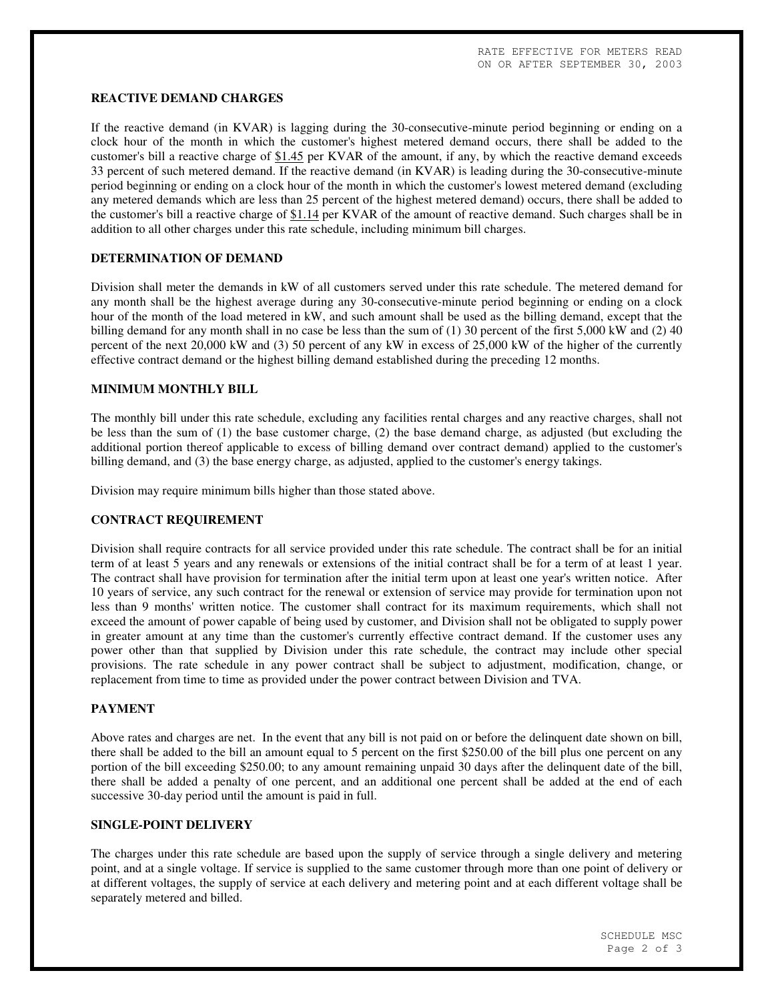### **REACTIVE DEMAND CHARGES**

If the reactive demand (in KVAR) is lagging during the 30-consecutive-minute period beginning or ending on a clock hour of the month in which the customer's highest metered demand occurs, there shall be added to the customer's bill a reactive charge of \$1.45 per KVAR of the amount, if any, by which the reactive demand exceeds 33 percent of such metered demand. If the reactive demand (in KVAR) is leading during the 30-consecutive-minute period beginning or ending on a clock hour of the month in which the customer's lowest metered demand (excluding any metered demands which are less than 25 percent of the highest metered demand) occurs, there shall be added to the customer's bill a reactive charge of  $$1.14$  per KVAR of the amount of reactive demand. Such charges shall be in addition to all other charges under this rate schedule, including minimum bill charges.

# **DETERMINATION OF DEMAND**

Division shall meter the demands in kW of all customers served under this rate schedule. The metered demand for any month shall be the highest average during any 30-consecutive-minute period beginning or ending on a clock hour of the month of the load metered in kW, and such amount shall be used as the billing demand, except that the billing demand for any month shall in no case be less than the sum of (1) 30 percent of the first 5,000 kW and (2) 40 percent of the next 20,000 kW and (3) 50 percent of any kW in excess of 25,000 kW of the higher of the currently effective contract demand or the highest billing demand established during the preceding 12 months.

## **MINIMUM MONTHLY BILL**

The monthly bill under this rate schedule, excluding any facilities rental charges and any reactive charges, shall not be less than the sum of (1) the base customer charge, (2) the base demand charge, as adjusted (but excluding the additional portion thereof applicable to excess of billing demand over contract demand) applied to the customer's billing demand, and (3) the base energy charge, as adjusted, applied to the customer's energy takings.

Division may require minimum bills higher than those stated above.

#### **CONTRACT REQUIREMENT**

Division shall require contracts for all service provided under this rate schedule. The contract shall be for an initial term of at least 5 years and any renewals or extensions of the initial contract shall be for a term of at least 1 year. The contract shall have provision for termination after the initial term upon at least one year's written notice. After 10 years of service, any such contract for the renewal or extension of service may provide for termination upon not less than 9 months' written notice. The customer shall contract for its maximum requirements, which shall not exceed the amount of power capable of being used by customer, and Division shall not be obligated to supply power in greater amount at any time than the customer's currently effective contract demand. If the customer uses any power other than that supplied by Division under this rate schedule, the contract may include other special provisions. The rate schedule in any power contract shall be subject to adjustment, modification, change, or replacement from time to time as provided under the power contract between Division and TVA.

#### **PAYMENT**

Above rates and charges are net. In the event that any bill is not paid on or before the delinquent date shown on bill, there shall be added to the bill an amount equal to 5 percent on the first \$250.00 of the bill plus one percent on any portion of the bill exceeding \$250.00; to any amount remaining unpaid 30 days after the delinquent date of the bill, there shall be added a penalty of one percent, and an additional one percent shall be added at the end of each successive 30-day period until the amount is paid in full.

#### **SINGLE-POINT DELIVERY**

The charges under this rate schedule are based upon the supply of service through a single delivery and metering point, and at a single voltage. If service is supplied to the same customer through more than one point of delivery or at different voltages, the supply of service at each delivery and metering point and at each different voltage shall be separately metered and billed.